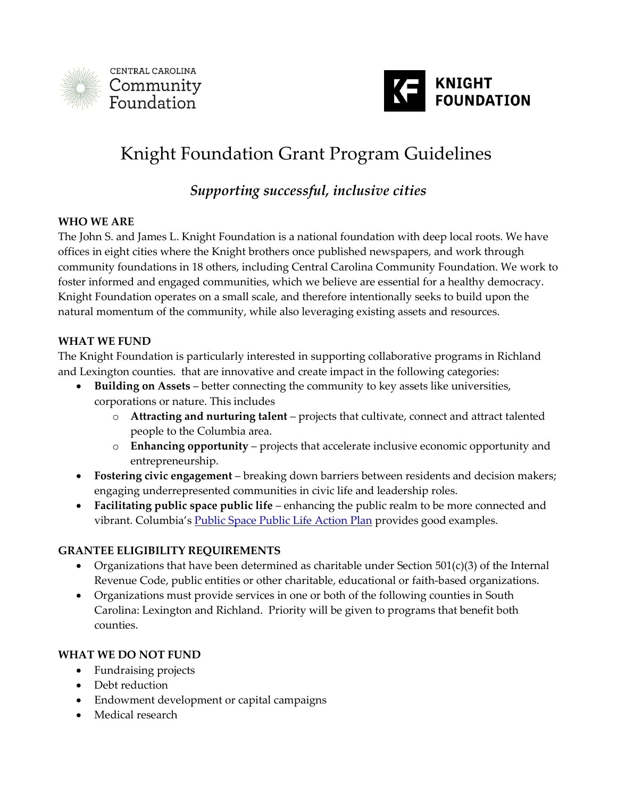



# Knight Foundation Grant Program Guidelines

*Supporting successful, inclusive cities*

#### **WHO WE ARE**

The John S. and James L. Knight Foundation is a national foundation with deep local roots. We have offices in eight cities where the Knight brothers once published newspapers, and work through community foundations in 18 others, including Central Carolina Community Foundation. We work to foster informed and engaged communities, which we believe are essential for a healthy democracy. Knight Foundation operates on a small scale, and therefore intentionally seeks to build upon the natural momentum of the community, while also leveraging existing assets and resources.

#### **WHAT WE FUND**

The Knight Foundation is particularly interested in supporting collaborative programs in Richland and Lexington counties. that are innovative and create impact in the following categories:

- **Building on Assets** better connecting the community to key assets like universities, corporations or nature. This includes
	- o **Attracting and nurturing talent**  projects that cultivate, connect and attract talented people to the Columbia area.
	- o **Enhancing opportunity**  projects that accelerate inclusive economic opportunity and entrepreneurship.
- **Fostering civic engagement**  breaking down barriers between residents and decision makers; engaging underrepresented communities in civic life and leadership roles.
- **Facilitating public space public life**  enhancing the public realm to be more connected and vibrant. Columbia's [Public Space Public Life Action Plan](https://www.dropbox.com/s/zi6jnaio666iuvs/Columbia%20PSPL_Final_Spreads.pdf?dl=0) provides good examples.

#### **GRANTEE ELIGIBILITY REQUIREMENTS**

- Organizations that have been determined as charitable under Section  $501(c)(3)$  of the Internal Revenue Code, public entities or other charitable, educational or faith-based organizations.
- Organizations must provide services in one or both of the following counties in South Carolina: Lexington and Richland. Priority will be given to programs that benefit both counties.

#### **WHAT WE DO NOT FUND**

- Fundraising projects
- Debt reduction
- Endowment development or capital campaigns
- Medical research